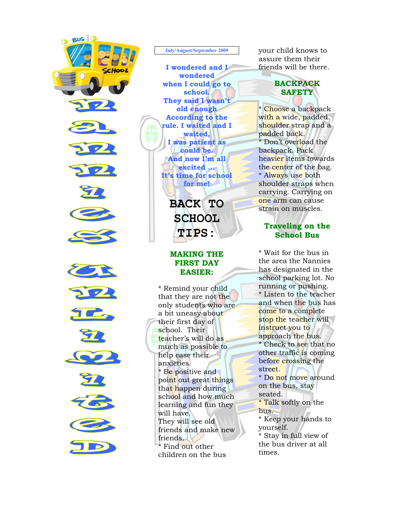

#### July/August/September 2009

I wondered and I wondered when I could go to school. They said I wasn't old enough According to the rule. I waited and I waited, I was patient as could be. And now I'm all excited ... It's time for school for me!

> BACK TO SCHOOL TIPS:

# MAKING THE FIRST DAY EASIER:

\* Remind your child that they are not the only students who are a bit uneasy about their first day of school. Their teacher's will do as much as possible to help ease their anxieties. \* Be positive and point out great things that happen during school and how much learning and fun they will have. They will see old friends and make new friends. Find out other children on the bus

your child knows to assure them their friends will be there.

## BACKPACK **SAFETY**

Í. \* <mark>Choose a</mark> backpack with a wide, padded shoulder strap and a padded back. \* Don't overload the backpack. Pack heavier items towards the center of the bag. \* Always use both shoulder straps when carrying. Carrying on one arm can cause strain on muscles.

# Traveling on the School Bus

\* Wait for the bus in the area the Nannies has designated in the school parking lot. No running or pushing. \* Listen to the teacher and when the bus has come to a complete stop the teacher will instruct you to approach the bus. \* Check to see that no other traffic is coming before crossing the street. \* Do not move around on the bus, stay seated. \* Talk softly on the bus. \* Keep your hands to yourself. \* Stay in full view of the bus driver at all times.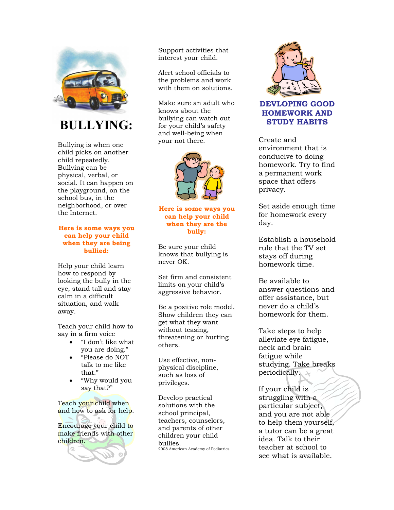

BULLYING:

Bullying is when one child picks on another child repeatedly. Bullying can be physical, verbal, or social. It can happen on the playground, on the school bus, in the neighborhood, or over the Internet.

### Here is some ways you can help your child when they are being bullied:

Help your child learn how to respond by looking the bully in the eye, stand tall and stay calm in a difficult situation, and walk away.

Teach your child how to say in a firm voice

- "I don't like what you are doing."
- "Please do NOT talk to me like that."
- "Why would you say that?"

Teach your child when and how to ask for help.

Encourage your child to make friends with other children.



Support activities that interest your child.

Alert school officials to the problems and work with them on solutions.

Make sure an adult who knows about the bullying can watch out for your child's safety and well-being when your not there.



Here is some ways you can help your child when they are the bully:

Be sure your child knows that bullying is never OK.

Set firm and consistent limits on your child's aggressive behavior.

Be a positive role model. Show children they can get what they want without teasing, threatening or hurting others.

Use effective, nonphysical discipline, such as loss of privileges.

Develop practical solutions with the school principal, teachers, counselors, and parents of other children your child bullies. 2008 American Academy of Pediatrics



DEVLOPING GOOD HOMEWORK AND STUDY HABITS

Create and environment that is conducive to doing homework. Try to find a permanent work space that offers privacy.

Set aside enough time for homework every day.

Establish a household rule that the TV set stays off during homework time.

Be available to answer questions and offer assistance, but never do a child's homework for them.

Take steps to help alleviate eye fatigue, neck and brain fatigue while studying. Take breaks periodically.

If your child is struggling with a particular subject, and you are not able to help them yourself, a tutor can be a great idea. Talk to their teacher at school to see what is available.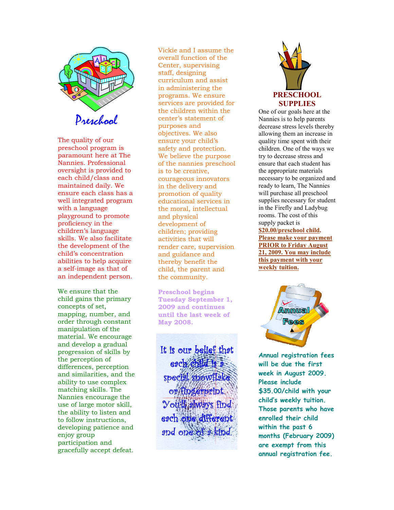

The quality of our preschool program is paramount here at The Nannies. Professional oversight is provided to each child/class and maintained daily. We ensure each class has a well integrated program with a language playground to promote proficiency in the children's language skills. We also facilitate the development of the child's concentration abilities to help acquire a self-image as that of an independent person.

We ensure that the child gains the primary concepts of set, mapping, number, and order through constant manipulation of the material. We encourage and develop a gradual progression of skills by the perception of differences, perception and similarities, and the ability to use complex matching skills. The Nannies encourage the use of large motor skill, the ability to listen and to follow instructions, developing patience and enjoy group participation and gracefully accept defeat.

Vickie and I assume the overall function of the Center, supervising staff, designing curriculum and assist in administering the programs. We ensure services are provided for the children within the center's statement of purposes and objectives. We also ensure your child's safety and protection. We believe the purpose of the nannies preschool is to be creative, courageous innovators in the delivery and promotion of quality educational services in the moral, intellectual and physical development of children; providing activities that will render care, supervision and guidance and thereby benefit the child, the parent and the community.

Preschool begins Tuesday September 1, 2009 and continues until the last week of May 2008.

It is our belief that each child special snowflake or fingerprint. You'll always find each one different and one of a kind



One of our goals here at the Nannies is to help parents decrease stress levels thereby allowing them an increase in quality time spent with their children. One of the ways we try to decrease stress and ensure that each student has the appropriate materials necessary to be organized and ready to learn, The Nannies will purchase all preschool supplies necessary for student in the Firefly and Ladybug rooms. The cost of this supply packet is \$20.00/preschool child. Please make your payment PRIOR to Friday August 21, 2009. You may include this payment with your weekly tuition.



Annual registration fees will be due the first week in August 2009. Please include \$35.00/child with your child's weekly tuition. Those parents who have enrolled their child within the past 6 months (February 2009) are exempt from this annual registration fee.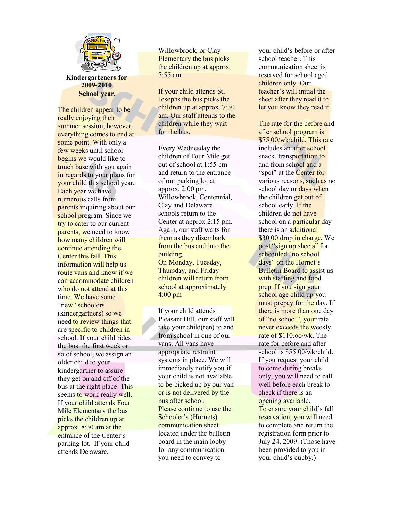

Kindergarteners for 2009-2010 School year.

The children appear to be really enjoying their summer session; however, everything comes to end at some point. With only a few weeks until school begins we would like to touch base with you again in regards to your plans for your child this school year. Each year we have numerous calls from **parents inquiring about our** school program. Since we try to cater to our current parents, we need to know how many children will continue attending the Center this fall. This information will help us route vans and know if we can accommodate children who do not attend at this time. We have some "new" schoolers (kindergartners) so we need to review things that are specific to children in school. If your child rides the bus: the first week or so of school, we assign an older child to your kindergartner to assure they get on and off of the bus at the right place. This seems to work really well. If your child attends Four Mile Elementary the bus picks the children up at approx. 8:30 am at the entrance of the Center's parking lot. If your child attends Delaware,

Willowbrook, or Clay Elementary the bus picks the children up at approx. 7:55 am

If your child attends St. Josephs the bus picks the children up at approx. 7:30 am. Our staff attends to the children while they wait for the bus.

Every Wednesday the children of Four Mile get out of school at 1:55 pm and return to the entrance of our parking lot at approx. 2:00 pm. Willowbrook, Centennial, Clay and Delaware schools return to the Center at approx 2:15 pm. Again, our staff waits for them as they disembark from the bus and into the building. On Monday, Tuesday, Thursday, and Friday children will return from school at approximately 4:00 pm

If your child attends Pleasant Hill, our staff will take your child(ren) to and from school in one of our vans. All vans have appropriate restraint systems in place. We will immediately notify you if your child is not available to be picked up by our van or is not delivered by the bus after school. Please continue to use the Schooler's (Hornets) communication sheet located under the bulletin board in the main lobby for any communication you need to convey to

your child's before or after school teacher. This communication sheet is reserved for school aged children only. Our teacher's will initial the sheet after they read it to let you know they read it.

The rate for the before and after school program is \$75.00/wk/child. This rate includes an after school snack, transportation to and from school and a "spot" at the **Center for** various reasons, such as no school day or days when the children get out of school early. If the children do not have school on a **particular** day there is an additional \$30.00 drop in charge. We post "sign up sheets" for scheduled "no school days" on the Hornet's **Bulletin Board to assist us** with staffing and food prep. If you sign your school age child up you must prepay for the day. If there is more than one day of "no school", your rate never exceeds the weekly rate of \$110.oo/wk. The rate for before and after school is \$55.00/wk/child. If you request your child to come during breaks only, you will need to call well before each break to check if there is an opening available. To ensure your child's fall reservation, you will need to complete and return the registration form prior to July 24, 2009. (Those have been provided to you in your child's cubby.)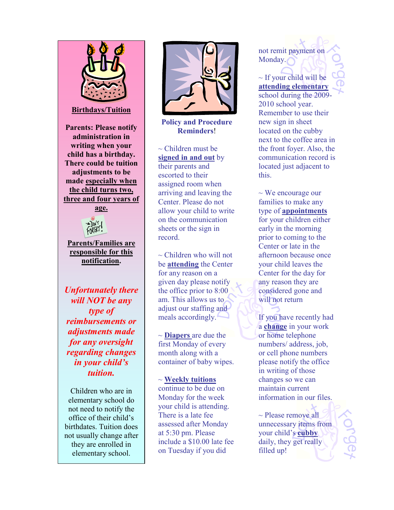

Children who are in elementary school do not need to notify the office of their child's birthdates. Tuition does not usually change after they are enrolled in elementary school.



Policy and Procedure Reminders!

 $\sim$  Children must be signed in and out by their parents and escorted to their assigned room when arriving and leaving the Center. Please do not allow your child to write on the communication sheets or the sign in record.

 $\sim$  Children who will not be attending the Center for any reason on a given day please notify the office prior to 8:00 am. This allows us to adjust our staffing and meals accordingly.

 $\sim$  **Diapers** are due the first Monday of every month along with a container of baby wipes.

 $\sim$  Weekly tuitions continue to be due on Monday for the week your child is attending. There is a late fee assessed after Monday at 5:30 pm. Please include a \$10.00 late fee on Tuesday if you did

not remit payment on Monday.

 $\sim$  If your child will be attending elementary school during the 2009- 2010 school year. Remember to use their new sign in sheet located on the cubby next to the coffee area in the front foyer. Also, the communication record is located just adjacent to this.

 $\sim$  We encourage our families to make any type of appointments for your children either early in the morning prior to coming to the Center or late in the afternoon because once your child leaves the Center for the day for any reason they are considered gone and will not return

If you have recently had a change in your work or home telephone numbers/ address, job, or cell phone numbers please notify the office in writing of those changes so we can maintain current information in our files.

~ Please remove all unnecessary items from your child's cubby daily, they get really filled up!